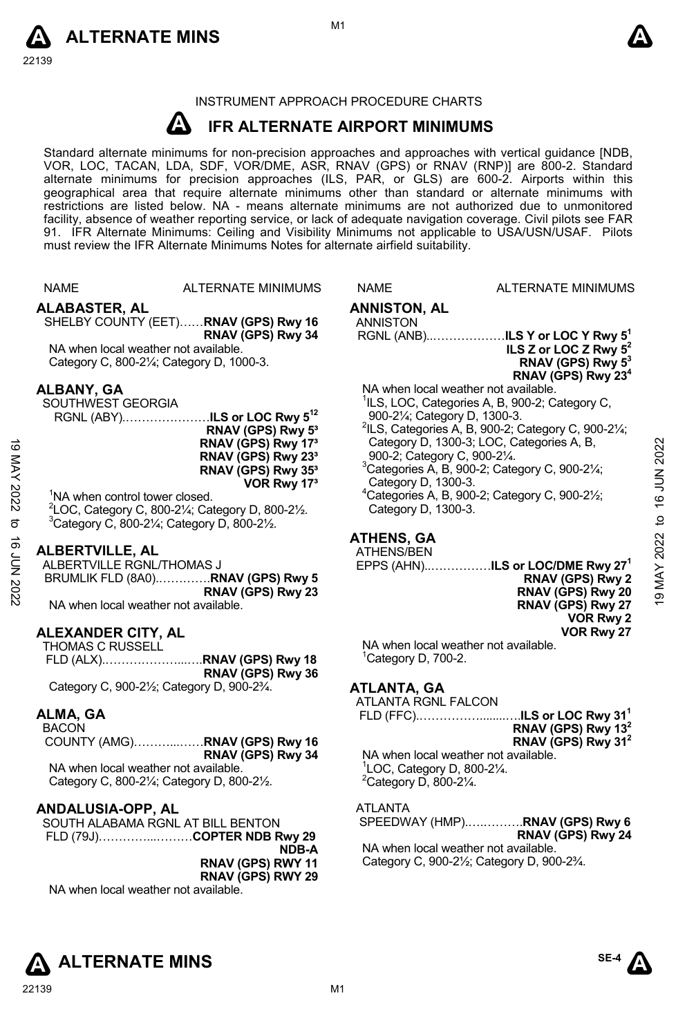

#### INSTRUMENT APPROACH PROCEDURE CHARTS

#### **A IFR ALTERNATE AIRPORT MINIMUMS**

Standard alternate minimums for non-precision approaches and approaches with vertical guidance [NDB,<br>VOR, LOC, TACAN, LDA, SDF, VOR/DME, ASR, RNAV (GPS) or RNAV (RNP)] are 800-2. Standard<br>alternate minimums for precision a geographical area that require alternate minimums other than standard or alternate minimums with restrictions are listed below. NA - means alternate minimums are not authorized due to unmonitored facility, absence of weather reporting service, or lack of adequate navigation coverage. Civil pilots see FAR 91. IFR Alternate Minimums: Ceiling and Visibility Minimums not applicable to USA/USN/USAF. Pilots must review the IFR Alternate Minimums Notes for alternate airfield suitability.

|                    | <b>NAME</b>                                  | <b>ALTERNATE MINIMUMS</b>                                               | <b>NAME</b>                           | <b>ALTERNATE MINIMUMS</b>                                                                                |               |
|--------------------|----------------------------------------------|-------------------------------------------------------------------------|---------------------------------------|----------------------------------------------------------------------------------------------------------|---------------|
|                    | <b>ALABASTER, AL</b>                         |                                                                         | <b>ANNISTON, AL</b>                   |                                                                                                          |               |
|                    |                                              | SHELBY COUNTY (EET) RNAV (GPS) Rwy 16<br>RNAV (GPS) Rwy 34              | <b>ANNISTON</b>                       | RGNL (ANB)ILS Y or LOC Y Rwy 5 <sup>1</sup>                                                              |               |
|                    | NA when local weather not available.         |                                                                         |                                       | ILS Z or LOC Z Rwy $5^2$                                                                                 |               |
|                    |                                              | Category C, 800-21/4; Category D, 1000-3.                               |                                       | RNAV (GPS) Rwy 5 <sup>3</sup><br>RNAV (GPS) Rwy 23 <sup>4</sup>                                          |               |
|                    | ALBANY, GA                                   |                                                                         |                                       | NA when local weather not available.                                                                     |               |
|                    | SOUTHWEST GEORGIA                            | RGNL (ABY)ILS or LOC Rwy 5 <sup>12</sup>                                |                                       | <sup>1</sup> ILS, LOC, Categories A, B, 900-2; Category C,<br>900-21/ <sub>4</sub> ; Category D, 1300-3. |               |
|                    |                                              | RNAV (GPS) Rwy 5 <sup>3</sup>                                           |                                       | <sup>2</sup> ILS, Categories A, B, 900-2; Category C, 900-21/4;                                          |               |
|                    |                                              | RNAV (GPS) Rwy 17 <sup>3</sup>                                          |                                       | Category D, 1300-3; LOC, Categories A, B,                                                                | 2022          |
|                    |                                              | RNAV (GPS) Rwy 23 <sup>3</sup><br>RNAV (GPS) Rwy 35 <sup>3</sup>        |                                       | 900-2; Category C, 900-21/4.<br>$3$ Categories A, B, 900-2; Category C, 900-2 $\frac{1}{4}$ ;            |               |
|                    |                                              | VOR Rwy 17 <sup>3</sup>                                                 | Category D, 1300-3.                   |                                                                                                          | <b>16 JUN</b> |
| 19 MAY 2022        | <sup>1</sup> NA when control tower closed.   | ${}^{2}$ LOC, Category C, 800-2¼; Category D, 800-2½.                   | Category D, 1300-3.                   | $4$ Categories A, B, 900-2; Category C, 900-2 $\frac{1}{2}$ ;                                            |               |
| ಕ                  |                                              | $3$ Category C, 800-2 $\frac{1}{4}$ ; Category D, 800-2 $\frac{1}{2}$ . |                                       |                                                                                                          |               |
|                    |                                              |                                                                         | <b>ATHENS, GA</b>                     |                                                                                                          | 9 MAY 2022 to |
|                    | ALBERTVILLE, AL<br>ALBERTVILLE RGNL/THOMAS J |                                                                         | ATHENS/BEN                            | EPPS (AHN)ILS or LOC/DME Rwy 27 <sup>1</sup>                                                             |               |
|                    |                                              | BRUMLIK FLD (8A0)RNAV (GPS) Rwy 5                                       |                                       | RNAV (GPS) Rwy 2                                                                                         |               |
| <b>16 JUN 2022</b> | NA when local weather not available.         | RNAV (GPS) Rwy 23                                                       |                                       | RNAV (GPS) Rwy 20                                                                                        |               |
|                    |                                              |                                                                         |                                       | RNAV (GPS) Rwy 27<br>VOR Rwy 2                                                                           |               |
|                    | <b>ALEXANDER CITY, AL</b>                    |                                                                         |                                       | VOR Rwy 27                                                                                               |               |
|                    | <b>THOMAS C RUSSELL</b>                      |                                                                         | <sup>1</sup> Category D, 700-2.       | NA when local weather not available.                                                                     |               |
|                    |                                              | RNAV (GPS) Rwy 36                                                       |                                       |                                                                                                          |               |
|                    |                                              | Category C, 900-21/2; Category D, 900-23/4.                             | ATLANTA, GA                           |                                                                                                          |               |
|                    | ALMA, GA                                     |                                                                         | ATLANTA RGNL FALCON                   |                                                                                                          |               |
|                    | <b>BACON</b>                                 |                                                                         |                                       | RNAV (GPS) Rwy 13 <sup>2</sup>                                                                           |               |
|                    |                                              | COUNTY (AMG)RNAV (GPS) Rwy 16<br>RNAV (GPS) Rwy 34                      |                                       | RNAV (GPS) Rwy 31 <sup>2</sup><br>NA when local weather not available.                                   |               |
|                    | NA when local weather not available.         |                                                                         |                                       | $\degree$ LOC, Category D, 800-2 $\frac{1}{4}$ .                                                         |               |
|                    |                                              | Category C, 800-21/ <sub>4</sub> ; Category D, 800-21/2.                | $2$ Category D, 800-2 $\frac{1}{4}$ . |                                                                                                          |               |
|                    | ANDALUSIA-OPP, AL                            |                                                                         | <b>ATLANTA</b>                        |                                                                                                          |               |
|                    |                                              | SOUTH ALABAMA RGNL AT BILL BENTON                                       |                                       | SPEEDWAY (HMP)RNAV (GPS) Rwy 6                                                                           |               |
|                    |                                              | FLD (79J)COPTER NDB Rwy 29<br>NDB-A                                     |                                       | RNAV (GPS) Rwy 24<br>NA when local weather not available.                                                |               |
|                    |                                              | RNAV (GPS) RWY 11                                                       |                                       | Category C, 900-21/ <sub>2</sub> ; Category D, 900-23/4.                                                 |               |
|                    | NA when local weather not available.         | RNAV (GPS) RWY 29                                                       |                                       |                                                                                                          |               |
|                    |                                              |                                                                         |                                       |                                                                                                          |               |
|                    |                                              |                                                                         |                                       |                                                                                                          |               |
|                    |                                              |                                                                         |                                       |                                                                                                          |               |

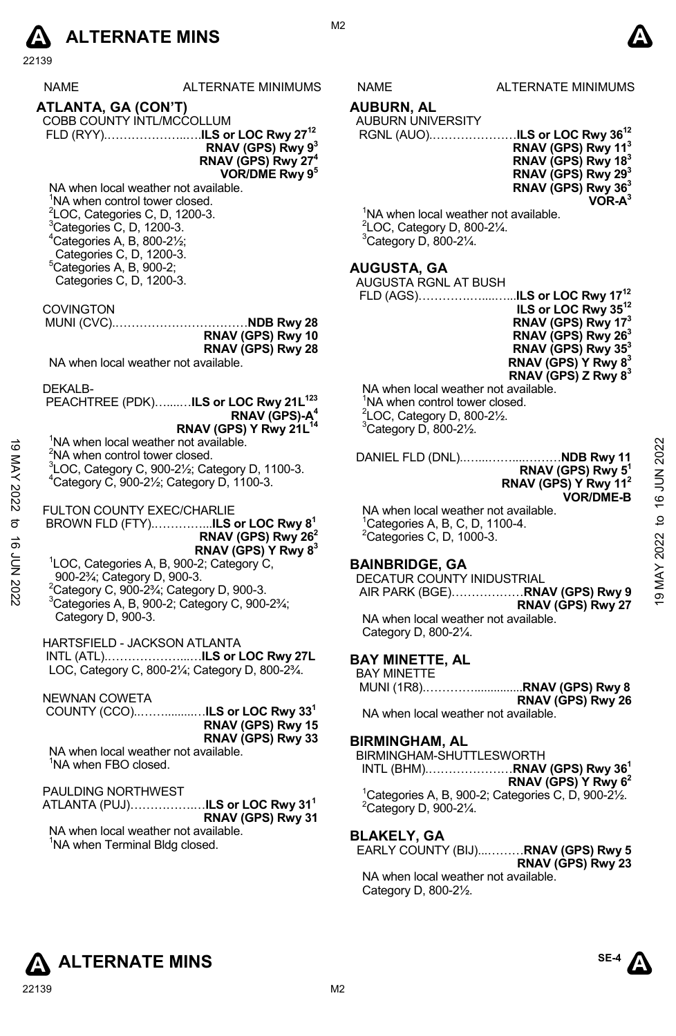

|                | NAME                                                   | ALTERNATE MINIMUMS                                                              | NAME                                       | <b>ALTERNATE MINIMUMS</b>                                                   |
|----------------|--------------------------------------------------------|---------------------------------------------------------------------------------|--------------------------------------------|-----------------------------------------------------------------------------|
|                | ATLANTA, GA (CON'T)                                    |                                                                                 | AUBURN, AL                                 |                                                                             |
|                |                                                        | COBB COUNTY INTL/MCCOLLUM                                                       | AUBURN UNIVERSITY                          |                                                                             |
|                |                                                        |                                                                                 |                                            | RGNL (AUO)ILS or LOC Rwy 36 <sup>12</sup>                                   |
|                |                                                        | RNAV (GPS) Rwy 9 <sup>3</sup>                                                   |                                            | RNAV (GPS) Rwy 11 <sup>3</sup>                                              |
|                |                                                        | RNAV (GPS) Rwy 27 <sup>4</sup>                                                  |                                            | RNAV (GPS) Rwy 18 <sup>3</sup>                                              |
|                |                                                        | VOR/DME Rwy 9 <sup>5</sup>                                                      |                                            | RNAV (GPS) Rwy 29 <sup>3</sup>                                              |
|                |                                                        | NA when local weather not available.                                            |                                            | RNAV (GPS) Rwy 36 <sup>3</sup>                                              |
|                | <sup>1</sup> NA when control tower closed.             |                                                                                 |                                            | $VOR-A3$                                                                    |
|                |                                                        | ${}^{2}$ LOC, Categories C, D, 1200-3.                                          |                                            | <sup>1</sup> NA when local weather not available.                           |
|                | <sup>3</sup> Categories C, D, 1200-3.                  |                                                                                 | $2$ LOC, Category D, 800-2 $\frac{1}{4}$ . |                                                                             |
|                | $4$ Categories A, B, 800-2 $\frac{1}{2}$ ;             |                                                                                 | <sup>3</sup> Category D, 800-21/4.         |                                                                             |
|                | Categories C, D, 1200-3.                               |                                                                                 |                                            |                                                                             |
|                | °Categories A, B, 900-2;                               |                                                                                 | <b>AUGUSTA, GA</b>                         |                                                                             |
|                | Categories C, D, 1200-3.                               |                                                                                 | AUGUSTA RGNL AT BUSH                       |                                                                             |
|                |                                                        |                                                                                 |                                            |                                                                             |
|                | <b>COVINGTON</b>                                       |                                                                                 |                                            | ILS or LOC Rwy 35 <sup>12</sup>                                             |
|                |                                                        |                                                                                 |                                            | RNAV (GPS) Rwy 17 <sup>3</sup>                                              |
|                |                                                        | RNAV (GPS) Rwy 10                                                               |                                            | RNAV (GPS) Rwy 26 <sup>3</sup>                                              |
|                |                                                        | RNAV (GPS) Rwy 28                                                               |                                            | RNAV (GPS) Rwy 35 <sup>3</sup>                                              |
|                |                                                        | NA when local weather not available.                                            |                                            | RNAV (GPS) Y Rwy 83                                                         |
|                |                                                        |                                                                                 |                                            | RNAV (GPS) Z Rwy $8^3$                                                      |
|                | DEKALB-                                                |                                                                                 |                                            | NA when local weather not available.                                        |
|                |                                                        | PEACHTREE (PDK)ILS or LOC Rwy 21L <sup>123</sup>                                | <sup>1</sup> NA when control tower closed. |                                                                             |
|                |                                                        | RNAV (GPS)-A <sup>4</sup>                                                       | <sup>2</sup> LOC, Category D, 800-21/2.    |                                                                             |
|                |                                                        | RNAV (GPS) Y Rwy 21L <sup>14</sup>                                              | $3$ Category D, 800-2 $\frac{1}{2}$ .      |                                                                             |
|                |                                                        | <sup>1</sup> NA when local weather not available.                               |                                            |                                                                             |
|                | <sup>2</sup> NA when control tower closed.             |                                                                                 |                                            | 2022<br>DANIEL FLD (DNL)NDB Rwy 11                                          |
|                |                                                        | ${}^{3}$ LOC, Category C, 900-2 $\frac{1}{2}$ ; Category D, 1100-3.             |                                            | RNAV (GPS) Rwy 5 <sup>1</sup>                                               |
|                |                                                        | $4$ Category C, 900-2 $\frac{1}{2}$ ; Category D, 1100-3.                       |                                            | RNAV (GPS) Y Rwy 11 <sup>2</sup>                                            |
|                |                                                        |                                                                                 |                                            | <b>VOR/DME-B</b>                                                            |
| 19 MAY 2022 to |                                                        | FULTON COUNTY EXEC/CHARLIE                                                      |                                            | 9 MAY 2022 to 16 JUN<br>NA when local weather not available.                |
|                |                                                        |                                                                                 | ${}^{1}$ Categories A, B, C, D, 1100-4.    |                                                                             |
|                |                                                        | RNAV (GPS) Rwy 26 <sup>2</sup>                                                  | <sup>2</sup> Categories C, D, 1000-3.      |                                                                             |
|                |                                                        | RNAV (GPS) Y Rwy 8 <sup>3</sup>                                                 |                                            |                                                                             |
|                |                                                        | <sup>1</sup> LOC, Categories A, B, 900-2; Category C,                           | <b>BAINBRIDGE, GA</b>                      |                                                                             |
|                | 900-2 <sup>3</sup> / <sub>4</sub> ; Category D, 900-3. |                                                                                 | DECATUR COUNTY INIDUSTRIAL                 |                                                                             |
| 16 JUN 2022    |                                                        | <sup>2</sup> Category C, 900-2 <sup>3</sup> / <sub>4</sub> ; Category D, 900-3. |                                            |                                                                             |
|                |                                                        | <sup>3</sup> Categories A, B, 900-2; Category C, 900-23/4;                      |                                            | RNAV (GPS) Rwy 27                                                           |
|                | Category D, 900-3.                                     |                                                                                 |                                            | NA when local weather not available.                                        |
|                |                                                        |                                                                                 | Category D, 800-21/4.                      |                                                                             |
|                |                                                        | HARTSFIELD - JACKSON ATLANTA                                                    |                                            |                                                                             |
|                |                                                        | INTL (ATL)ILS or LOC Rwy 27L                                                    | <b>BAY MINETTE, AL</b>                     |                                                                             |
|                |                                                        | LOC, Category C, 800-21/4; Category D, 800-23/4.                                | <b>BAY MINETTE</b>                         |                                                                             |
|                |                                                        |                                                                                 |                                            |                                                                             |
|                | NEWNAN COWETA                                          |                                                                                 |                                            | RNAV (GPS) Rwy 26                                                           |
|                |                                                        | COUNTY (CCO)ILS or LOC Rwy 33 <sup>1</sup>                                      |                                            | NA when local weather not available.                                        |
|                |                                                        | RNAV (GPS) Rwy 15                                                               |                                            |                                                                             |
|                |                                                        | RNAV (GPS) Rwy 33                                                               | <b>BIRMINGHAM, AL</b>                      |                                                                             |
|                |                                                        | NA when local weather not available.                                            | BIRMINGHAM-SHUTTLESWORTH                   |                                                                             |
|                | <sup>1</sup> NA when FBO closed.                       |                                                                                 |                                            | INTL (BHM)RNAV (GPS) Rwy 36 <sup>1</sup>                                    |
|                |                                                        |                                                                                 |                                            | RNAV (GPS) Y Rwy $62$                                                       |
|                | PAULDING NORTHWEST                                     |                                                                                 |                                            | <sup>1</sup> Categories A, B, 900-2; Categories C, D, 900-2 $\frac{1}{2}$ . |
|                |                                                        | ATLANTA (PUJ)ILS or LOC Rwy 31 <sup>1</sup>                                     | <sup>2</sup> Category D, 900-21/4.         |                                                                             |
|                |                                                        | RNAV (GPS) Rwy 31                                                               |                                            |                                                                             |
|                |                                                        | NA when local weather not available.                                            | <b>BLAKELY, GA</b>                         |                                                                             |
|                |                                                        | <sup>1</sup> NA when Terminal Bldg closed.                                      |                                            | EARLY COUNTY (BIJ)RNAV (GPS) Rwy 5                                          |
|                |                                                        |                                                                                 |                                            | RNAV (GPS) Rwy 23                                                           |
|                |                                                        |                                                                                 |                                            | NA whon local woather not available                                         |

M<sub>2</sub>

#### NAME ALTERNATE MINIMUMS

### **AUBURN, AL**

## AUBURN UNIVERSITY

#### **AUGUSTA, GA**

| ILS or LOC Rwy 35 <sup>12</sup> |
|---------------------------------|
| RNAV (GPS) Rwy 17 <sup>3</sup>  |
| RNAV (GPS) Rwy 26 <sup>3</sup>  |
| RNAV (GPS) Rwy 35 <sup>3</sup>  |
| RNAV (GPS) Y Rwy 8 <sup>3</sup> |
| RNAV (GPS) Z Rwy $8^3$          |
|                                 |

```
VOR/DME-B
```
#### **BAINBRIDGE, GA**

#### **BAY MINETTE, AL**

#### **BIRMINGHAM, AL**

#### **BLAKELY, GA**

NA when local weather not available. Category D, 800-2½.

# **ALTERNATE MINS**

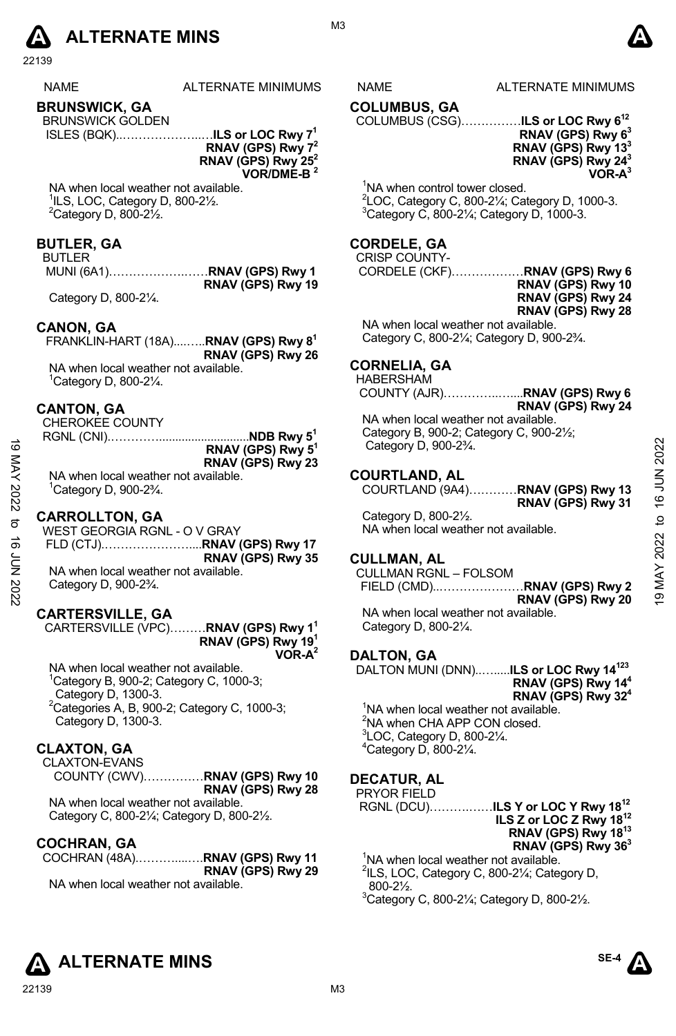

| <b>NAME</b> | <b>ALTERNATE MINIMUMS</b> |
|-------------|---------------------------|
|             |                           |

#### **BRUNSWICK, GA**

BRUNSWICK GOLDEN ISLES (BQK)..………………..…**ILS or LOC Rwy 71** 

**RNAV (GPS) Rwy 72 RNAV (GPS) Rwy 252 VOR/DME-B 2** 

NA when local weather not available. 1 ILS, LOC, Category D, 800-2½.  $2$ Category D, 800-2 $\frac{1}{2}$ .

#### **BUTLER, GA**

#### BUTLER

 MUNI (6A1)……………….……**RNAV (GPS) Rwy 1 RNAV (GPS) Rwy 19** 

Category D, 800-2¼.

#### **CANON, GA**

 FRANKLIN-HART (18A)....…..**RNAV (GPS) Rwy 81 RNAV (GPS) Rwy 26**  NA when local weather not available.

1 Category D, 800-2¼.

#### **CANTON, GA**

CHEROKEE COUNTY

|                                                      | RNAV (GPS) Rwy 5 <sup>1</sup> |
|------------------------------------------------------|-------------------------------|
|                                                      | RNAV (GPS) Rwy 23             |
| NA when local weather not available.                 |                               |
| ${}^{1}$ Category D, 900-2 ${}^{3}$ / <sub>4</sub> . |                               |

#### **CARROLLTON, GA**

| ಹ    | RNAV (GPS) Rwy 5 <sup>1</sup>                                | Category D, 900-23/4.                | 2022           |
|------|--------------------------------------------------------------|--------------------------------------|----------------|
| XAN  | RNAV (GPS) Rwy 23                                            |                                      |                |
|      | NA when local weather not available.                         | <b>COURTLAND, AL</b>                 |                |
| 2022 | <sup>1</sup> Category D, 900-2 <sup>3</sup> / <sub>4</sub> . | COURTLAND (9A4)RNAV (GPS) Rwy 13     | NUN 91         |
|      |                                                              | RNAV (GPS) Rwy 31                    |                |
| ನ    | <b>CARROLLTON, GA</b>                                        | Category D, 800-21/2.                | $\mathsf{d}$   |
|      | WEST GEORGIA RGNL - O V GRAY                                 | NA when local weather not available. |                |
| ಹೆ   |                                                              |                                      | 2022           |
| ξ    | RNAV (GPS) Rwy 35                                            | <b>CULLMAN, AL</b>                   |                |
|      | NA when local weather not available.                         | <b>CULLMAN RGNL - FOLSOM</b>         |                |
| 2022 | Category D, 900-2 <sup>3</sup> / <sub>4</sub> .              |                                      | Š              |
|      |                                                              | RNAV (GPS) Rwy 20                    | $\overline{9}$ |

#### **CARTERSVILLE, GA**

CARTERSVILLE (VPC)………**RNAV (GPS) Rwy 11 RNAV (GPS) Rwy 191 VOR-A2**

NA when local weather not available. 1 Category B, 900-2; Category C, 1000-3; Category D, 1300-3.  ${}^{2}$ Categories A, B, 900-2; Category C, 1000-3; Category D, 1300-3.

#### **CLAXTON, GA**

CLAXTON-EVANS COUNTY (CWV)……………**RNAV (GPS) Rwy 10 RNAV (GPS) Rwy 28** 

NA when local weather not available. Category C, 800-2¼; Category D, 800-2½.

#### **COCHRAN, GA**

COCHRAN (48A).………....….**RNAV (GPS) Rwy 11 RNAV (GPS) Rwy 29**  NA when local weather not available.

22139 M3

S NAME ALTERNATE MINIMUMS

#### **COLUMBUS, GA**

COLUMBUS (CSG)……………**ILS or LOC Rwy 612 RNAV (GPS) Rwy 63** 

#### **RNAV (GPS) Rwy 133 RNAV (GPS) Rwy 243 VOR-A3**

<sup>1</sup>NA when control tower closed. <sup>2</sup> LOC, Category C, 800-2¼; Category D, 1000-3.<br><sup>3</sup> Category C, 800-21⁄; Category D, 1000-2.  $3$ Category C, 800-2 $\frac{1}{4}$ ; Category D, 1000-3.

#### **CORDELE, GA**

#### CRISP COUNTY-

CORDELE (CKF)………………**RNAV (GPS) Rwy 6 RNAV (GPS) Rwy 10 RNAV (GPS) Rwy 24 RNAV (GPS) Rwy 28** 

NA when local weather not available. Category C, 800-2¼; Category D, 900-2¾.

#### **CORNELIA, GA**

HABERSHAM

COUNTY (AJR)…………..…....**RNAV (GPS) Rwy 6** 

**RNAV (GPS) Rwy 24** NA when local weather not available. Category B, 900-2; Category C, 900-2½; Category D, 900-2¾.

#### **COURTLAND, AL**

#### **CULLMAN, AL**

NA when local weather not available. Category D, 800-2¼.

#### **DALTON, GA**

DALTON MUNI (DNN)..….....**ILS or LOC Rwy 14123 RNAV (GPS) Rwy 144 RNAV (GPS) Rwy 324**  <sup>1</sup>NA when local weather not available.

<sup>2</sup>NA when CHA APP CON closed. 3 LOC, Category D, 800-2¼. 4 Category D, 800-2¼.

#### **DECATUR, AL**

PRYOR FIELD RGNL (DCU)……….……**ILS Y or LOC Y Rwy 1812 ILS Z or LOC Z Rwy 1812 RNAV (GPS) Rwy 1813 RNAV (GPS) Rwy 363**  <sup>1</sup>NA when local weather not available.

<sup>2</sup>ILS, LOC, Category C, 800-21/<sub>4</sub>; Category D, 800-2½.

 $3$ Category C, 800-2 $\frac{1}{4}$ ; Category D, 800-2 $\frac{1}{2}$ .





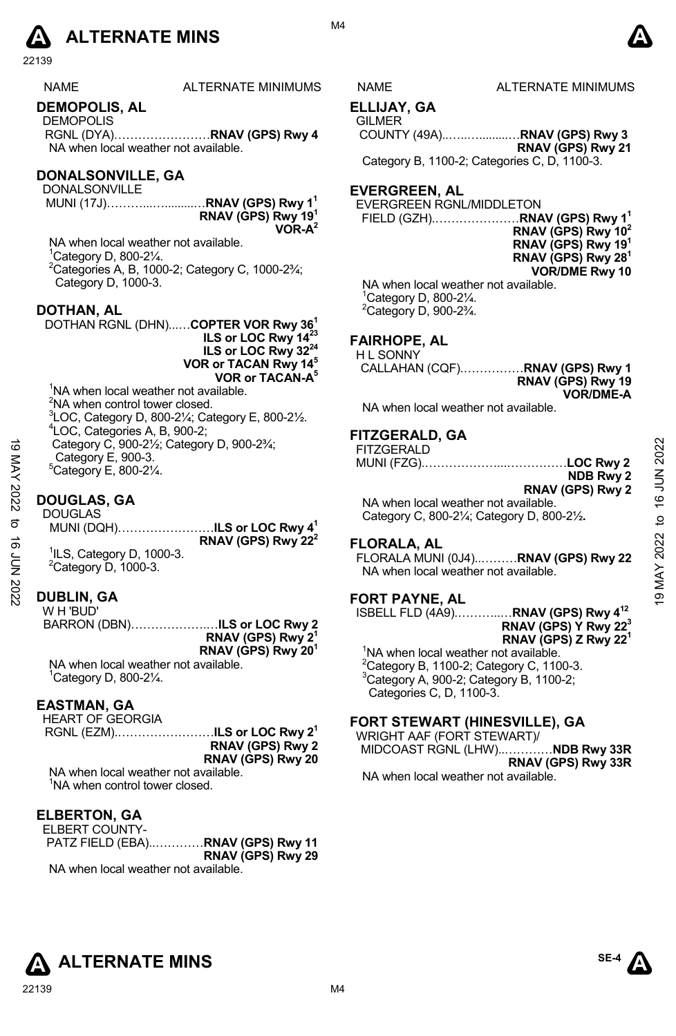

| <b>NAME</b> | ALTERNATE MINIMUM |
|-------------|-------------------|
|             |                   |

#### **DEMOPOLIS, AL**

DEMOPOLIS RGNL (DYA)……………………**RNAV (GPS) Rwy 4**  NA when local weather not available.

#### **DONALSONVILLE, GA**

DONALSONVILLE MUNI (17J)………...….........…**RNAV (GPS) Rwy 11 RNAV (GPS) Rwy 191 VOR-A2** 

NA when local weather not available. 1 Category D, 800-2¼. 2 Categories A, B, 1000-2; Category C, 1000-2¾; Category D, 1000-3.

#### **DOTHAN, AL**

DOTHAN RGNL (DHN)...…**COPTER VOR Rwy 361 ILS or LOC Rwy 1423 ILS or LOC Rwy 3224 VOR or TACAN Rwy 145 VOR or TACAN-A5** <sup>1</sup>NA when local weather not available.

 $2$ NA when control tower closed.  ${}^{3}$ LOC, Category D, 800-21⁄<sub>4</sub>; Category E, 800-21⁄<sub>2</sub>. LOC, Categories A, B, 900-2; Category C, 900-2½; Category D, 900-2¾; Category E, 900-3.  $5$ Category E, 800-2 $\frac{1}{4}$ .

#### **DOUGLAS, GA**

#### **DUBLIN, GA**  W H 'BUD'

BARRON (DBN)……………….…**ILS or LOC Rwy 2 RNAV (GPS) Rwy 21 RNAV (GPS) Rwy 201** NA when local weather not available.

1 Category D, 800-2¼.

#### **EASTMAN, GA**

HEART OF GEORGIA

RGNL (EZM).……………………**ILS or LOC Rwy 21 RNAV (GPS) Rwy 2 RNAV (GPS) Rwy 20**

NA when local weather not available. <sup>1</sup>NA when control tower closed.

#### **ELBERTON, GA**

ELBERT COUNTY-PATZ FIELD (EBA)..…………**RNAV (GPS) Rwy 11 RNAV (GPS) Rwy 29**  NA when local weather not available.

M4

#### S NAME ALTERNATE MINIMUMS

**ELLIJAY, GA GILMER** 

 COUNTY (49A)..…..….........…**RNAV (GPS) Rwy 3 RNAV (GPS) Rwy 21** 

Category B, 1100-2; Categories C, D, 1100-3.

#### **EVERGREEN, AL**

EVERGREEN RGNL/MIDDLETON **FIELD (GZH)...........** 

| $$ RNAV (GPS) Rwy 1 $^{\rm t}$ |
|--------------------------------|
| RNAV (GPS) Rwy $10^2$          |
| RNAV (GPS) Rwy 19 <sup>1</sup> |
| RNAV (GPS) Rwy 28 <sup>1</sup> |
| <b>VOR/DME Rwy 10</b>          |
| er not available.              |

NA when local weathe 1 Category D, 800-2¼.  $2$ Category D, 900-2 $\frac{3}{4}$ .

#### **FAIRHOPE, AL**

H L SONNY CALLAHAN (CQF).……………**RNAV (GPS) Rwy 1 RNAV (GPS) Rwy 19 VOR/DME-A** 

NA when local weather not available.

#### **FITZGERALD, GA**

| ಹ<br>KAY    | Category C, 900-21/ <sub>2</sub> ; Category D, 900-23/ <sub>4</sub> ;<br>Category E, 900-3.<br>${}^5$ Category E, 800-2 $\frac{1}{4}$ . | .<br><b>FITZGERALD</b><br>LOC Rwy 2<br>NDB Rwy 2                                                        | 16 JUN 2022 |
|-------------|-----------------------------------------------------------------------------------------------------------------------------------------|---------------------------------------------------------------------------------------------------------|-------------|
| 2022<br>ಕ   | <b>DOUGLAS, GA</b><br><b>DOUGLAS</b><br>MUNI (DQH)ILS or LOC Rwy 4 <sup>1</sup>                                                         | RNAV (GPS) Rwy 2<br>NA when local weather not available.<br>Category C, 800-21/4; Category D, 800-21/2. | ₫           |
| ಕ<br>ξ<br>Σ | RNAV (GPS) Rwy $222$<br><sup>1</sup> ILS, Category D, 1000-3.<br>$2$ Category D, 1000-3.                                                | <b>FLORALA, AL</b><br>FLORALA MUNI (0J4)RNAV (GPS) Rwy 22<br>NA when local weather not available.       | 2022        |
| 2022        | <b>DUBLIN, GA</b>                                                                                                                       | <b>FORT PAYNE, AL</b>                                                                                   |             |

#### **FLORALA, AL**

#### **FORT PAYNE, AL**

ISBELL FLD (4A9).………..…**RNAV (GPS) Rwy 412 RNAV (GPS) Y Rwy 223 RNAV (GPS) Z Rwy 221** 

<sup>1</sup>NA when local weather not available.  $2$ Category B, 1100-2; Category C, 1100-3. 3 Category A, 900-2; Category B, 1100-2; Categories C, D, 1100-3.

#### **FORT STEWART (HINESVILLE), GA**

WRIGHT AAF (FORT STEWART)/ MIDCOAST RGNL (LHW)..…………**NDB Rwy 33R RNAV (GPS) Rwy 33R**  NA when local weather not available.

**ALTERNATE MINS**  ${}^{\text{SE-4}}\Lambda$ 

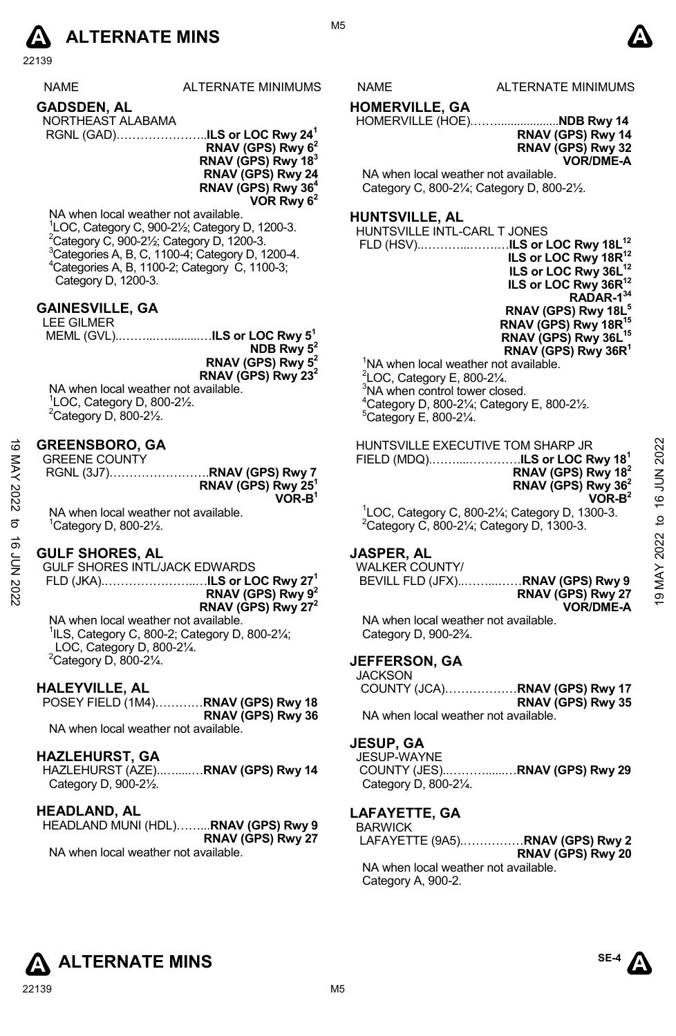

|                    | NAME                                                                                                                                                                                                                                                                                                                                                                               | <b>ALTERNATE MINIMUMS</b>                                                                                                                                                                                                                                     | NAME                                                                                                                                                                                                                                                                                | <b>ALTERNATE MINIMUMS</b>                                                                                                                                                                                                                                                                                                                         |                   |
|--------------------|------------------------------------------------------------------------------------------------------------------------------------------------------------------------------------------------------------------------------------------------------------------------------------------------------------------------------------------------------------------------------------|---------------------------------------------------------------------------------------------------------------------------------------------------------------------------------------------------------------------------------------------------------------|-------------------------------------------------------------------------------------------------------------------------------------------------------------------------------------------------------------------------------------------------------------------------------------|---------------------------------------------------------------------------------------------------------------------------------------------------------------------------------------------------------------------------------------------------------------------------------------------------------------------------------------------------|-------------------|
|                    | GADSDEN, AL<br>NORTHEAST ALABAMA                                                                                                                                                                                                                                                                                                                                                   | RGNL (GAD)ILS or LOC Rwy 24 <sup>1</sup><br>RNAV (GPS) Rwy 6 <sup>2</sup><br>RNAV (GPS) Rwy 183<br>RNAV (GPS) Rwy 24<br>RNAV (GPS) Rwy 36 <sup>4</sup><br>VOR Rwy 6 <sup>2</sup>                                                                              | <b>HOMERVILLE, GA</b><br>NA when local weather not available.                                                                                                                                                                                                                       | HOMERVILLE (HOE)NDB Rwy 14<br>RNAV (GPS) Rwy 14<br>RNAV (GPS) Rwy 32<br><b>VOR/DME-A</b><br>Category C, 800-21/ <sub>4</sub> ; Category D, 800-21/2.                                                                                                                                                                                              |                   |
|                    | NA when local weather not available.<br><sup>2</sup> Category C, 900-2 $\frac{1}{2}$ ; Category D, 1200-3.<br><sup>4</sup> Categories A, B, 1100-2; Category C, 1100-3;<br>Category D, 1200-3.<br><b>GAINESVILLE, GA</b><br><b>LEE GILMER</b><br>NA when local weather not available.<br>$\degree$ LOC, Category D, 800-2 $\frac{1}{2}$ .<br>$2$ Category D, 800-2 $\frac{1}{2}$ . | <sup>1</sup> LOC, Category C, 900-21/ <sub>2</sub> ; Category D, 1200-3.<br><sup>3</sup> Categories A, B, C, 1100-4; Category D, 1200-4.<br>MEML (GVL)ILS or LOC Rwy 5 <sup>1</sup><br>NDB Rwy $5^2$<br>RNAV (GPS) Rwy $52$<br>RNAV (GPS) Rwy 23 <sup>2</sup> | <b>HUNTSVILLE, AL</b><br>HUNTSVILLE INTL-CARL T JONES<br>NA when local weather not available.<br>$2$ LOC, Category E, 800-2 $\frac{1}{4}$ .<br><sup>3</sup> NA when control tower closed.<br><sup>5</sup> Category E, 800-21/4.                                                     | ILS or LOC Rwy 18R <sup>12</sup><br>ILS or LOC Rwy 36L <sup>12</sup><br>ILS or LOC Rwy 36R <sup>12</sup><br>RADAR-134<br>RNAV (GPS) Rwy 18L <sup>5</sup><br>RNAV (GPS) Rwy 18R <sup>15</sup><br>RNAV (GPS) Rwy 36L <sup>15</sup><br>RNAV (GPS) Rwy 36R <sup>1</sup><br>$^{4}$ Category D, 800-2 $\frac{1}{4}$ ; Category E, 800-2 $\frac{1}{2}$ . |                   |
| 19 MAY 2022<br>ಠ   | <b>GREENSBORO, GA</b><br><b>GREENE COUNTY</b><br>NA when local weather not available.<br>$^1$ Category D, 800-2 $\frac{1}{2}$ .                                                                                                                                                                                                                                                    | RGNL (3J7)RNAV (GPS) Rwy 7<br>RNAV (GPS) Rwy 25 <sup>1</sup><br>$VOR-B1$                                                                                                                                                                                      |                                                                                                                                                                                                                                                                                     | HUNTSVILLE EXECUTIVE TOM SHARP JR<br>FIELD (MDQ)ILS or LOC Rwy 18 <sup>1</sup><br>RNAV (GPS) Rwy 18 <sup>2</sup><br>RNAV (GPS) Rwy 36 <sup>2</sup><br>$VOR-B2$<br>${}^{1}$ LOC, Category C, 800-2¼; Category D, 1300-3.<br>$2$ Category C, 800-2 $\frac{1}{4}$ ; Category D, 1300-3.                                                              | 2022<br>to 16 JUN |
| <b>16 JUN 2022</b> | <b>GULF SHORES, AL</b><br><b>GULF SHORES INTL/JACK EDWARDS</b><br>NA when local weather not available.<br>$\frac{1}{1}$ ILS, Category C, 800-2; Category D, 800-2 $\frac{1}{4}$ ;<br>LOC, Category D, 800-21/4.<br><sup>2</sup> Category D, 800-21⁄4.<br><b>HALEYVILLE, AL</b><br>NA when local weather not available.<br><b>HAZLEHURST, GA</b><br>Category D, 900-21/2.           | FLD (JKA)ILS or LOC Rwy 27 <sup>1</sup><br>RNAV (GPS) Rwy $9^2$<br>RNAV (GPS) Rwy 27 <sup>2</sup><br>POSEY FIELD (1M4) RNAV (GPS) Rwy 18<br>RNAV (GPS) Rwy 36<br>HAZLEHURST (AZE)RNAV (GPS) Rwy 14                                                            | <b>JASPER, AL</b><br><b>WALKER COUNTY/</b><br>NA when local weather not available.<br>Category D, 900-2 <sup>3</sup> / <sub>4</sub> .<br><b>JEFFERSON, GA</b><br><b>JACKSON</b><br>NA when local weather not available.<br><b>JESUP, GA</b><br>JESUP-WAYNE<br>Category D, 800-21/4. | BEVILL FLD (JFX) RNAV (GPS) Rwy 9<br>RNAV (GPS) Rwy 27<br><b>VOR/DME-A</b><br>COUNTY (JCA)RNAV (GPS) Rwy 17<br>RNAV (GPS) Rwy 35<br>COUNTY (JES)RNAV (GPS) Rwy 29                                                                                                                                                                                 | 2022<br>9 MAY     |
|                    | <b>HEADLAND, AL</b><br>NA when local weather not available.                                                                                                                                                                                                                                                                                                                        | HEADLAND MUNI (HDL)RNAV (GPS) Rwy 9<br>RNAV (GPS) Rwy 27                                                                                                                                                                                                      | LAFAYETTE, GA<br><b>BARWICK</b>                                                                                                                                                                                                                                                     | LAFAYETTE (9A5)RNAV (GPS) Rwy 2<br>RNAV (GPS) Rwy 20                                                                                                                                                                                                                                                                                              |                   |

M5

NA when local weather not available. Category A, 900-2.



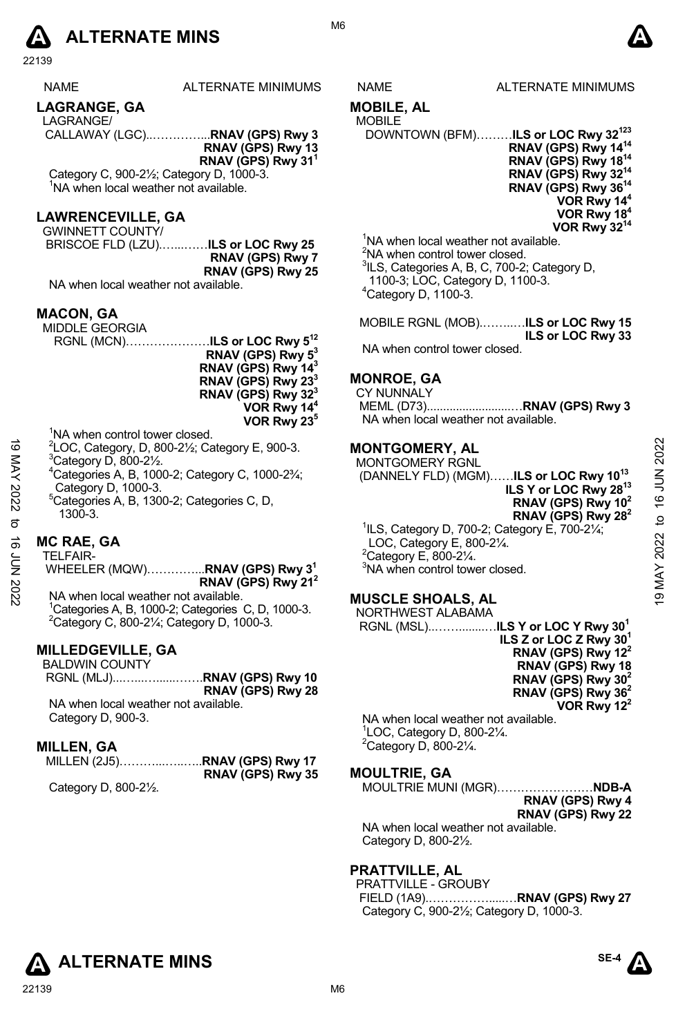# **A** ALTERNATE MINS  $\bullet$

22139

| <b>NAME</b> | ALTERNATE MINIMUMS |
|-------------|--------------------|
|-------------|--------------------|

#### **LAGRANGE, GA**

LAGRANGE/

CALLAWAY (LGC)..…………...**RNAV (GPS) Rwy 3 RNAV (GPS) Rwy 13** 

**RNAV (GPS) Rwy 311** 

Category C, 900-2½; Category D, 1000-3. <sup>1</sup>NA when local weather not available.

#### **LAWRENCEVILLE, GA**

GWINNETT COUNTY/ BRISCOE FLD (LZU).…...……**ILS or LOC Rwy 25 RNAV (GPS) Rwy 7** 

**RNAV (GPS) Rwy 25**  NA when local weather not available.

#### **MACON, GA**

MIDDLE GEORGIA RGNL (MCN)…………………**ILS or LOC Rwy 512 RNAV (GPS) Rwy 53** 

**RNAV (GPS) Rwy 143 RNAV (GPS) Rwy 233 RNAV (GPS) Rwy 323** 

**VOR Rwy 144 VOR Rwy 235**

- <sup>1</sup>NA when control tower closed.
- $^{2}$ LOC, Category, D, 800-21⁄<sub>2</sub>; Category E, 900-3.
- $^3$ Category D, 800-2 $\frac{1}{2}$ .
- 4 Categories A, B, 1000-2; Category C, 1000-2¾; Category D, 1000-3.
- 5 Categories A, B, 1300-2; Categories C, D, 1300-3.

#### **MC RAE, GA**

TELFAIR- WHEELER (MQW)…………...**RNAV (GPS) Rwy 31** 

**RNAV (GPS) Rwy 212**  NA when local weather not available. <sup>1</sup>Categories A, B, 1000-2; Categories C, D, 1000-3. Category C, 800-2¼; Category D, 1000-3.

#### **MILLEDGEVILLE, GA**

| <b>BALDWIN COUNTY</b> |                             |
|-----------------------|-----------------------------|
|                       | RGNL (MLJ)RNAV (GPS) Rwy 10 |
|                       | RNAV (GPS) Rwy 28           |

NA when local weather not available. Category D, 900-3.

#### **MILLEN, GA**

|                                                  | RNAV (GPS) Rwy 35 |
|--------------------------------------------------|-------------------|
| $C_{\text{obs}}$ $\sim$ $D_{\text{max}}$ 000.01/ |                   |

Category D, 800-2½.

## S NAME ALTERNATE MINIMUMS

#### **MOBILE, AL**

## MOBILE

DOWNTOWN (BFM)………**ILS or LOC Rwy 32123 RNAV (GPS) Rwy 1414 RNAV (GPS) Rwy 1814 RNAV (GPS) Rwy 3214 RNAV (GPS) Rwy 3614 VOR Rwy 144 VOR Rwy 184 VOR Rwy 3214**

<sup>1</sup>NA when local weather not available. <sup>2</sup>NA when control tower closed. <sup>3</sup>ILS, Categories A, B, C, 700-2; Category D, 1100-3; LOC, Category D, 1100-3. 4 Category D, 1100-3.

MOBILE RGNL (MOB).……..…**ILS or LOC Rwy 15 ILS or LOC Rwy 33**  NA when control tower closed.

#### **MONROE, GA**

CY NUNNALY MEML (D73)..........................…**RNAV (GPS) Rwy 3**  NA when local weather not available.

#### **MONTGOMERY, AL**

MONTGOMERY RGNL (DANNELY FLD) (MGM)……**ILS or LOC Rwy 1013 ILS Y or LOC Rwy 2813 RNAV (GPS) Rwy 102 RNAV (GPS) Rwy 282**  1 ILS, Category D, 700-2; Category E, 700-2¼; LOC, Category E, 800-2¼. 4  $^{2}$ Category, D, 800-2½; Category E, 900-3.<br>  $^{2}$ Category D, 800-2½; Category C, 1000-2¼;<br>  $^{2}$ Categories A, B, 1000-3.<br>
Categories A, B, 1000-3.<br>
Categories A, B, 1300-2; Categories C, D,<br>  $^{2}$ Category D, 1003-3.

 $2^2$ Category E, 800-2 $\frac{1}{4}$ . <sup>3</sup>NA when control tower closed.

#### **MUSCLE SHOALS, AL**  NORTHWEST ALABAMA

 RGNL (MSL)..……........…**ILS Y or LOC Y Rwy 301 ILS Z or LOC Z Rwy 301 RNAV (GPS) Rwy 122 RNAV (GPS) Rwy 18 RNAV (GPS) Rwy 302 RNAV (GPS) Rwy 362 VOR Rwy 122** 

NA when local weather not available. 1 LOC, Category D, 800-2¼.  $2$ Category D, 800-2 $\frac{1}{4}$ .

## **MOULTRIE, GA**

| MOULTRIE MUNI (MGR) <b>NDB-A</b> |  |   |
|----------------------------------|--|---|
| RNAV (GPS) Rwy 4                 |  |   |
| RNAV (GPS) Rwy 22                |  |   |
|                                  |  | . |

NA when local weather not available. Category D, 800-2½.

#### **PRATTVILLE, AL**

PRATTVILLE - GROUBY FIELD (1A9).…………….....…**RNAV (GPS) Rwy 27**  Category C, 900-2½; Category D, 1000-3.



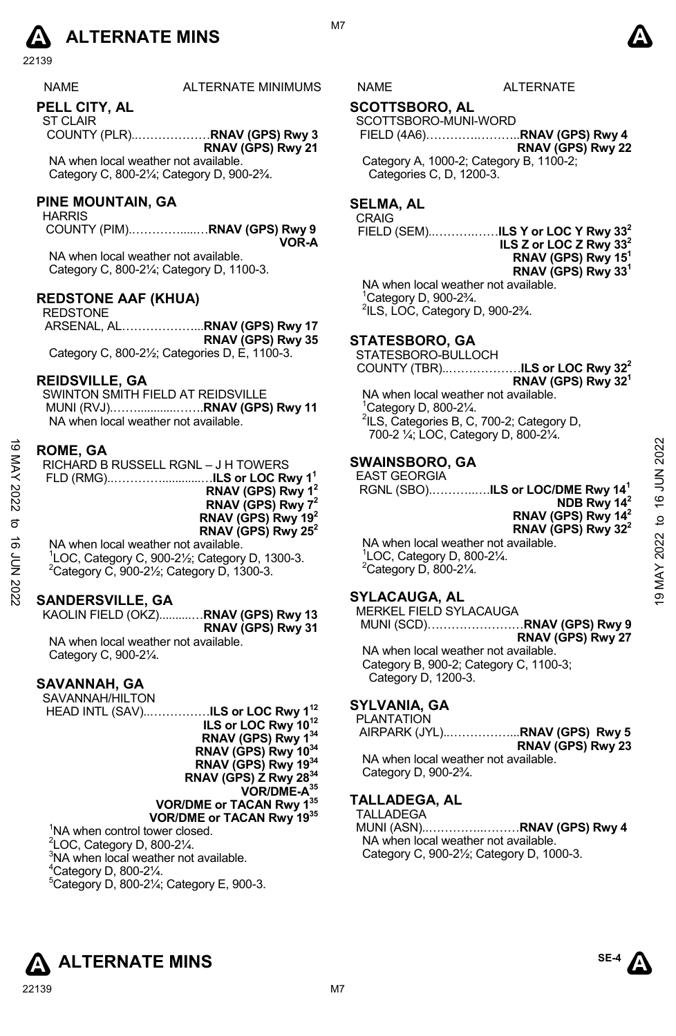

| <b>NAME</b> | <b>ALTERNATE MINIMUMS</b> | ٩ML | ™RNA∃<br>Αl |
|-------------|---------------------------|-----|-------------|
|             |                           |     |             |

**PELL CITY, AL** 

ST CLAIR COUNTY (PLR)..………………**RNAV (GPS) Rwy 3 RNAV (GPS) Rwy 21** 

NA when local weather not available. Category C, 800-2¼; Category D, 900-2¾.

#### **PINE MOUNTAIN, GA**

HARRIS

 COUNTY (PIM).………….....…**RNAV (GPS) Rwy 9 VOR-A** 

NA when local weather not available. Category C, 800-2¼; Category D, 1100-3.

#### **REDSTONE AAF (KHUA)**

REDSTONE ARSENAL, AL………………...**RNAV (GPS) Rwy 17 RNAV (GPS) Rwy 35** Category C, 800-2½; Categories D, E, 1100-3.

#### **REIDSVILLE, GA**

SWINTON SMITH FIELD AT REIDSVILLE MUNI (RVJ).……............…….**RNAV (GPS) Rwy 11**  NA when local weather not available.

#### **ROME, GA**

| $\vec{0}$<br><b>NAY</b><br>2022<br>ಹೆ<br>ξ | <b>ROME, GA</b><br>RICHARD B RUSSELL RGNL - J H TOWERS<br>RNAV (GPS) Rwy 1 <sup>2</sup><br>RNAV (GPS) Rwy 7 <sup>2</sup><br>RNAV (GPS) Rwy 19 <sup>2</sup><br>RNAV (GPS) Rwy 25 <sup>2</sup><br>NA when local weather not available.<br><sup>1</sup> LOC, Category C, 900-21/ <sub>2</sub> ; Category D, 1300-3.<br>${}^{2}$ Category C, 900-2 $\frac{1}{2}$ ; Category D, 1300-3. | <b>SWAINSBORO, GA</b><br><b>EAST GEORGIA</b><br>RGNL (SBO) <b>ILS or LOC/DME Rwy 14<sup>1</sup></b><br>NDB Rwy 14 <sup>2</sup><br>RNAV (GPS) Rwy 14 <sup>2</sup><br>RNAV (GPS) Rwy $32^2$<br>NA when local weather not available.<br>$\degree$ LOC, Category D, 800-2 $\frac{1}{4}$ .<br>$2$ Category D, 800-2 $\frac{1}{4}$ . | 2022<br>ANT 91<br>$\overline{a}$<br>2022 |
|--------------------------------------------|------------------------------------------------------------------------------------------------------------------------------------------------------------------------------------------------------------------------------------------------------------------------------------------------------------------------------------------------------------------------------------|--------------------------------------------------------------------------------------------------------------------------------------------------------------------------------------------------------------------------------------------------------------------------------------------------------------------------------|------------------------------------------|
|                                            | <b>SANDERSVILLE, GA</b>                                                                                                                                                                                                                                                                                                                                                            | <b>SYLACAUGA, AL</b>                                                                                                                                                                                                                                                                                                           | e)                                       |

#### **SANDERSVILLE, GA**

KAOLIN FIELD (OKZ)..........…**RNAV (GPS) Rwy 13 RNAV (GPS) Rwy 31**  NA when local weather not available. Category C, 900-2¼.

#### **SAVANNAH, GA**

SAVANNAH/HILTON HEAD INTL (SAV)..……………**ILS or LOC Rwy 112 ILS or LOC Rwy 1012 RNAV (GPS) Rwy 134 RNAV (GPS) Rwy 1034 RNAV (GPS) Rwy 1934 RNAV (GPS) Z Rwy 2834 VOR/DME-A35 VOR/DME or TACAN Rwy 135 VOR/DME or TACAN Rwy 1935**

<sup>1</sup>NA when control tower closed.  $2^2$ LOC, Category D, 800-2 $\frac{1}{4}$ . <sup>3</sup>NA when local weather not available.  $4$ Category D, 800-2 $\frac{1}{4}$ . 5 Category D, 800-2¼; Category E, 900-3.

#### **SCOTTSBORO, AL**

#### SCOTTSBORO-MUNI-WORD

FIELD (4A6)………….………..**RNAV (GPS) Rwy 4 RNAV (GPS) Rwy 22** Category A, 1000-2; Category B, 1100-2; Categories C, D, 1200-3.

#### **SELMA, AL**

CRAIG

FIELD (SEM)..……….……**ILS Y or LOC Y Rwy 332 ILS Z or LOC Z Rwy 332**

**RNAV (GPS) Rwy 151 RNAV (GPS) Rwy 331**

NA when local weather not available. 1 Category D, 900-2¾. 2 ILS, LOC, Category D, 900-2¾.

#### **STATESBORO, GA**

STATESBORO-BULLOCH COUNTY (TBR)..………………**ILS or LOC Rwy 322**

**RNAV (GPS) Rwy 321**  NA when local weather not available. 1 Category D, 800-2¼. <sup>2</sup>ILS, Categories B, C, 700-2; Category D, 700-2 ¼; LOC, Category D, 800-2¼.

#### **SWAINSBORO, GA**

#### **SYLACAUGA, AL**

MERKEL FIELD SYLACAUGA MUNI (SCD)……………………**RNAV (GPS) Rwy 9**

**RNAV (GPS) Rwy 27**  NA when local weather not available. Category B, 900-2; Category C, 1100-3; Category D, 1200-3.

#### **SYLVANIA, GA**

**PLANTATION** 

 AIRPARK (JYL)..……………...**RNAV (GPS) Rwy 5 RNAV (GPS) Rwy 23** 

NA when local weather not available. Category D, 900-2¾.

#### **TALLADEGA, AL**

TALLADEGA

MUNI (ASN)..…………..………**RNAV (GPS) Rwy 4**  NA when local weather not available. Category C, 900-2½; Category D, 1000-3.